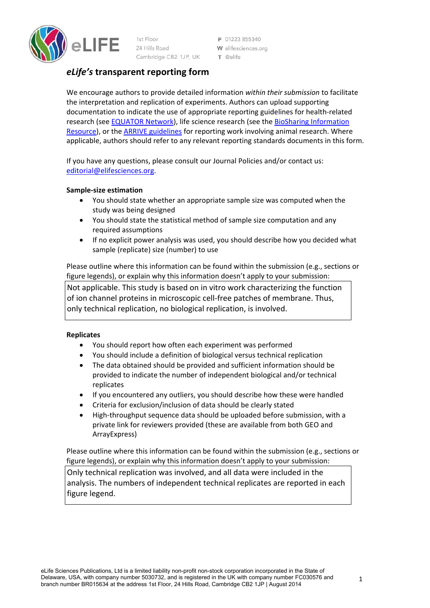

1st Floor 24 Hills Road Cambridge CB2 1JP, UK

P 01223 855340 W elifesciences.org T @elife

# *eLife's* **transparent reporting form**

We encourage authors to provide detailed information *within their submission* to facilitate the interpretation and replication of experiments. Authors can upload supporting documentation to indicate the use of appropriate reporting guidelines for health‐related research (see EQUATOR Network), life science research (see the BioSharing Information Resource), or the ARRIVE guidelines for reporting work involving animal research. Where applicable, authors should refer to any relevant reporting standards documents in this form.

If you have any questions, please consult our Journal Policies and/or contact us: editorial@elifesciences.org.

# **Sample‐size estimation**

- You should state whether an appropriate sample size was computed when the study was being designed
- You should state the statistical method of sample size computation and any required assumptions
- If no explicit power analysis was used, you should describe how you decided what sample (replicate) size (number) to use

Please outline where this information can be found within the submission (e.g., sections or figure legends), or explain why this information doesn't apply to your submission:

Not applicable. This study is based on in vitro work characterizing the function of ion channel proteins in microscopic cell‐free patches of membrane. Thus, only technical replication, no biological replication, is involved.

# **Replicates**

- You should report how often each experiment was performed
- You should include a definition of biological versus technical replication
- The data obtained should be provided and sufficient information should be provided to indicate the number of independent biological and/or technical replicates
- If you encountered any outliers, you should describe how these were handled
- Criteria for exclusion/inclusion of data should be clearly stated
- High-throughput sequence data should be uploaded before submission, with a private link for reviewers provided (these are available from both GEO and ArrayExpress)

Please outline where this information can be found within the submission (e.g., sections or figure legends), or explain why this information doesn't apply to your submission:

Only technical replication was involved, and all data were included in the analysis. The numbers of independent technical replicates are reported in each figure legend.